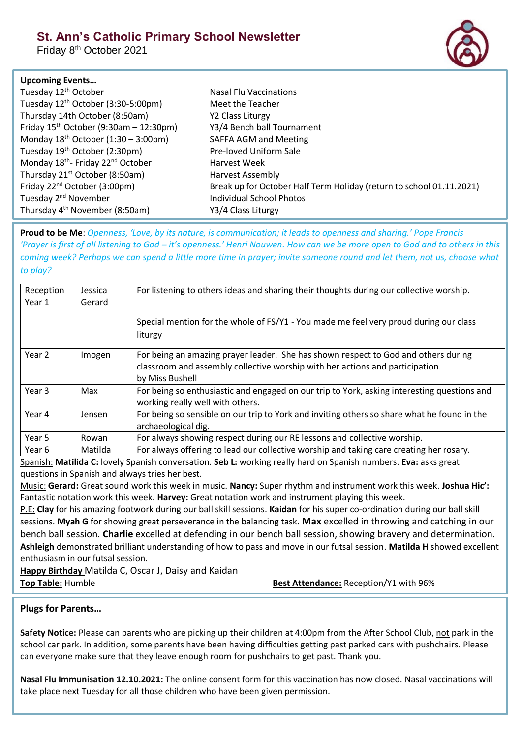# **St. Ann's Catholic Primary School Newsletter**

Friday 8<sup>th</sup> October 2021



### **Upcoming Events…**

| Tuesday 12 <sup>th</sup> October                          | Nasal Flu Vaccinations                                               |
|-----------------------------------------------------------|----------------------------------------------------------------------|
| Tuesday 12 <sup>th</sup> October (3:30-5:00pm)            | Meet the Teacher                                                     |
| Thursday 14th October (8:50am)                            | Y2 Class Liturgy                                                     |
| Friday $15^{th}$ October (9:30am - 12:30pm)               | Y3/4 Bench ball Tournament                                           |
| Monday $18^{th}$ October (1:30 – 3:00pm)                  | <b>SAFFA AGM and Meeting</b>                                         |
| Tuesday 19 <sup>th</sup> October (2:30pm)                 | Pre-loved Uniform Sale                                               |
| Monday 18 <sup>th</sup> - Friday 22 <sup>nd</sup> October | Harvest Week                                                         |
| Thursday 21 <sup>st</sup> October (8:50am)                | <b>Harvest Assembly</b>                                              |
| Friday $22^{nd}$ October (3:00pm)                         | Break up for October Half Term Holiday (return to school 01.11.2021) |
| Tuesday 2 <sup>nd</sup> November                          | <b>Individual School Photos</b>                                      |
| Thursday 4 <sup>th</sup> November (8:50am)                | Y3/4 Class Liturgy                                                   |

**Proud to be Me**: *Openness, 'Love, by its nature, is communication; it leads to openness and sharing.' Pope Francis 'Prayer is first of all listening to God – it's openness.' Henri Nouwen. How can we be more open to God and to others in this coming week? Perhaps we can spend a little more time in prayer; invite someone round and let them, not us, choose what to play?*

| Reception<br>Year 1 | Jessica<br>Gerard | For listening to others ideas and sharing their thoughts during our collective worship.                                                                                                |
|---------------------|-------------------|----------------------------------------------------------------------------------------------------------------------------------------------------------------------------------------|
|                     |                   | Special mention for the whole of FS/Y1 - You made me feel very proud during our class<br>liturgy                                                                                       |
| Year 2              | Imogen            | For being an amazing prayer leader. She has shown respect to God and others during<br>classroom and assembly collective worship with her actions and participation.<br>by Miss Bushell |
| Year 3              | Max               | For being so enthusiastic and engaged on our trip to York, asking interesting questions and<br>working really well with others.                                                        |
| Year 4              | Jensen            | For being so sensible on our trip to York and inviting others so share what he found in the<br>archaeological dig.                                                                     |
| Year 5              | Rowan             | For always showing respect during our RE lessons and collective worship.                                                                                                               |
| Year 6              | Matilda           | For always offering to lead our collective worship and taking care creating her rosary.                                                                                                |

Spanish: **Matilida C:** lovely Spanish conversation. **Seb L:** working really hard on Spanish numbers. **Eva:** asks great questions in Spanish and always tries her best.

Music: **Gerard:** Great sound work this week in music. **Nancy:** Super rhythm and instrument work this week. **Joshua Hic':** Fantastic notation work this week. **Harvey:** Great notation work and instrument playing this week.

P.E: **Clay** for his amazing footwork during our ball skill sessions. **Kaidan** for his super co-ordination during our ball skill sessions. **Myah G** for showing great perseverance in the balancing task. **Max** excelled in throwing and catching in our bench ball session. **Charlie** excelled at defending in our bench ball session, showing bravery and determination. **Ashleigh** demonstrated brilliant understanding of how to pass and move in our futsal session. **Matilda H** showed excellent enthusiasm in our futsal session.

**Happy Birthday** Matilda C, Oscar J, Daisy and Kaidan **Top Table:** Humble **Best Attendance:** Reception/Y1 with 96%

# **Plugs for Parents…**

**Safety Notice:** Please can parents who are picking up their children at 4:00pm from the After School Club, not park in the school car park. In addition, some parents have been having difficulties getting past parked cars with pushchairs. Please can everyone make sure that they leave enough room for pushchairs to get past. Thank you.

**Nasal Flu Immunisation 12.10.2021:** The online consent form for this vaccination has now closed. Nasal vaccinations will take place next Tuesday for all those children who have been given permission.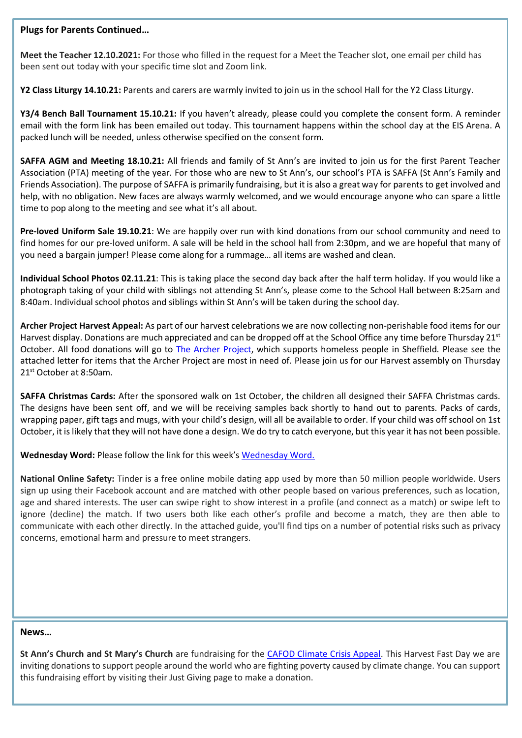## **Plugs for Parents Continued…**

**Meet the Teacher 12.10.2021:** For those who filled in the request for a Meet the Teacher slot, one email per child has been sent out today with your specific time slot and Zoom link.

**Y2 Class Liturgy 14.10.21:** Parents and carers are warmly invited to join us in the school Hall for the Y2 Class Liturgy.

**Y3/4 Bench Ball Tournament 15.10.21:** If you haven't already, please could you complete the consent form. A reminder email with the form link has been emailed out today. This tournament happens within the school day at the EIS Arena. A packed lunch will be needed, unless otherwise specified on the consent form.

**SAFFA AGM and Meeting 18.10.21:** All friends and family of St Ann's are invited to join us for the first Parent Teacher Association (PTA) meeting of the year. For those who are new to St Ann's, our school's PTA is SAFFA (St Ann's Family and Friends Association). The purpose of SAFFA is primarily fundraising, but it is also a great way for parents to get involved and help, with no obligation. New faces are always warmly welcomed, and we would encourage anyone who can spare a little time to pop along to the meeting and see what it's all about.

**Pre-loved Uniform Sale 19.10.21**: We are happily over run with kind donations from our school community and need to find homes for our pre-loved uniform. A sale will be held in the school hall from 2:30pm, and we are hopeful that many of you need a bargain jumper! Please come along for a rummage… all items are washed and clean.

**Individual School Photos 02.11.21**: This is taking place the second day back after the half term holiday. If you would like a photograph taking of your child with siblings not attending St Ann's, please come to the School Hall between 8:25am and 8:40am. Individual school photos and siblings within St Ann's will be taken during the school day.

**Archer Project Harvest Appeal:** As part of our harvest celebrations we are now collecting non-perishable food items for our Harvest display. Donations are much appreciated and can be dropped off at the School Office any time before Thursday  $21^{st}$ October. All food donations will go to [The Archer Project,](https://www.archerproject.org.uk/) which supports homeless people in Sheffield. Please see the attached letter for items that the Archer Project are most in need of. Please join us for our Harvest assembly on Thursday 21<sup>st</sup> October at 8:50am.

**SAFFA Christmas Cards:** After the sponsored walk on 1st October, the children all designed their SAFFA Christmas cards. The designs have been sent off, and we will be receiving samples back shortly to hand out to parents. Packs of cards, wrapping paper, gift tags and mugs, with your child's design, will all be available to order. If your child was off school on 1st October, it is likely that they will not have done a design. We do try to catch everyone, but this year it has not been possible.

**Wednesday Word:** Please follow the link for this week's [Wednesday Word.](https://www.paperturn-view.com/uk/wednesday-word/happiness?pid=MTA101634&v=40.3)

**National Online Safety:** Tinder is a free online mobile dating app used by more than 50 million people worldwide. Users sign up using their Facebook account and are matched with other people based on various preferences, such as location, age and shared interests. The user can swipe right to show interest in a profile (and connect as a match) or swipe left to ignore (decline) the match. If two users both like each other's profile and become a match, they are then able to communicate with each other directly. In the attached guide, you'll find tips on a number of potential risks such as privacy concerns, emotional harm and pressure to meet strangers.

#### **News…**

**St Ann's Church and St Mary's Church** are fundraising for the [CAFOD Climate Crisis Appeal.](https://www.justgiving.com/fundraising/st-anns-and-st-marys-harvest21) This Harvest Fast Day we are inviting donations to support people around the world who are fighting poverty caused by climate change. You can support this fundraising effort by visiting their Just Giving page to make a donation.